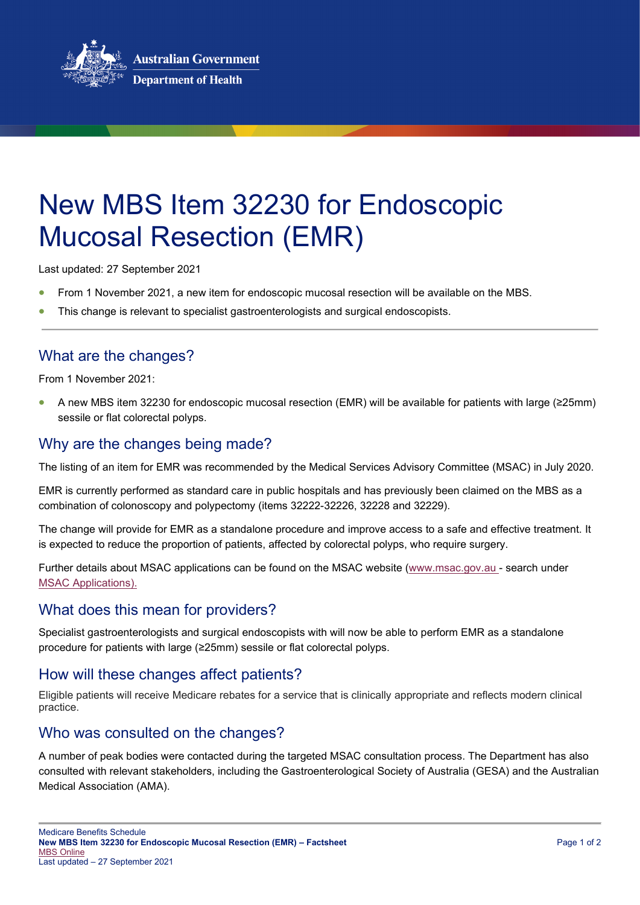

# New MBS Item 32230 for Endoscopic Mucosal Resection (EMR)

Last updated: 27 September 2021

- From 1 November 2021, a new item for endoscopic mucosal resection will be available on the MBS.
- This change is relevant to specialist gastroenterologists and surgical endoscopists.

## What are the changes?

From 1 November 2021:

• A new MBS item 32230 for endoscopic mucosal resection (EMR) will be available for patients with large (≥25mm) sessile or flat colorectal polyps.

#### Why are the changes being made?

The listing of an item for EMR was recommended by the Medical Services Advisory Committee (MSAC) in July 2020.

EMR is currently performed as standard care in public hospitals and has previously been claimed on the MBS as a combination of colonoscopy and polypectomy (items 32222-32226, 32228 and 32229).

The change will provide for EMR as a standalone procedure and improve access to a safe and effective treatment. It is expected to reduce the proportion of patients, affected by colorectal polyps, who require surgery.

Further details about MSAC applications can be found on the MSAC website (www.msac.gov.au - search under [MSAC Applications\)](http://www.msac.gov.au/internet/msac/publishing.nsf/Content/application-page).

## What does this mean for providers?

Specialist gastroenterologists and surgical endoscopists with will now be able to perform EMR as a standalone procedure for patients with large (≥25mm) sessile or flat colorectal polyps.

#### How will these changes affect patients?

Eligible patients will receive Medicare rebates for a service that is clinically appropriate and reflects modern clinical practice.

#### Who was consulted on the changes?

A number of peak bodies were contacted during the targeted MSAC consultation process. The Department has also consulted with relevant stakeholders, including the Gastroenterological Society of Australia (GESA) and the Australian Medical Association (AMA).